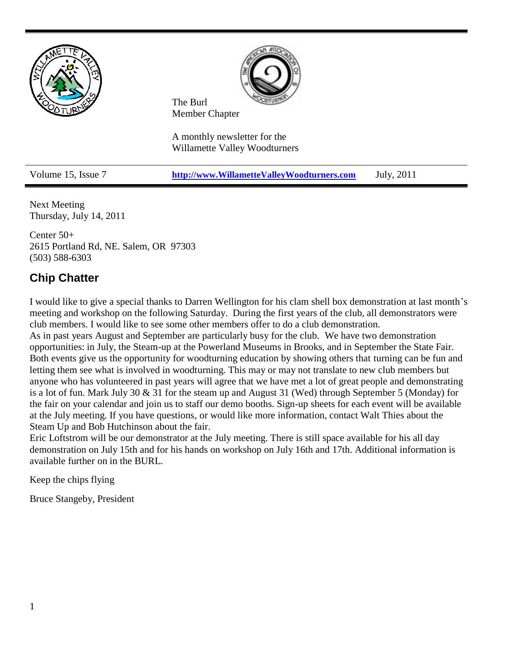

Next Meeting Thursday, July 14, 2011

Center 50+ 2615 Portland Rd, NE. Salem, OR 97303 (503) 588-6303

### **Chip Chatter**

I would like to give a special thanks to Darren Wellington for his clam shell box demonstration at last month's meeting and workshop on the following Saturday. During the first years of the club, all demonstrators were club members. I would like to see some other members offer to do a club demonstration.

As in past years August and September are particularly busy for the club. We have two demonstration opportunities: in July, the Steam-up at the Powerland Museums in Brooks, and in September the State Fair. Both events give us the opportunity for woodturning education by showing others that turning can be fun and letting them see what is involved in woodturning. This may or may not translate to new club members but anyone who has volunteered in past years will agree that we have met a lot of great people and demonstrating is a lot of fun. Mark July 30 & 31 for the steam up and August 31 (Wed) through September 5 (Monday) for the fair on your calendar and join us to staff our demo booths. Sign-up sheets for each event will be available at the July meeting. If you have questions, or would like more information, contact Walt Thies about the Steam Up and Bob Hutchinson about the fair.

Eric Loftstrom will be our demonstrator at the July meeting. There is still space available for his all day demonstration on July 15th and for his hands on workshop on July 16th and 17th. Additional information is available further on in the BURL.

Keep the chips flying

Bruce Stangeby, President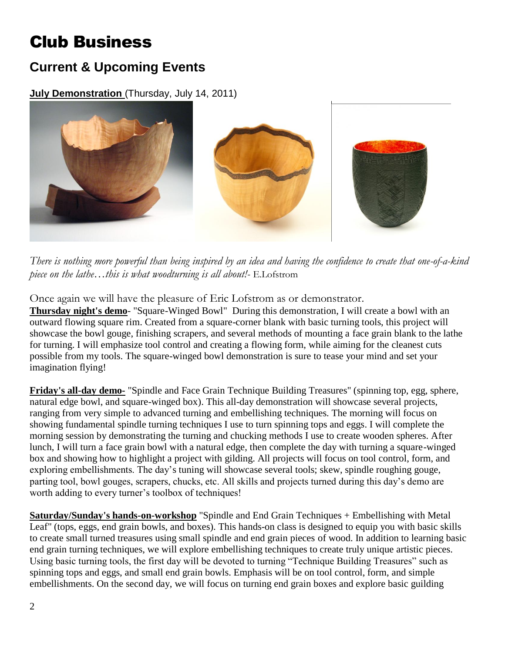# Club Business

## **Current & Upcoming Events**

**July Demonstration** (Thursday, July 14, 2011)



*There is nothing more powerful than being inspired by an idea and having the confidence to create that one-of-a-kind piece on the lathe…this is what woodturning is all about!-* E.Lofstrom

Once again we will have the pleasure of Eric Lofstrom as or demonstrator.

**Thursday night's demo**- "Square-Winged Bowl" During this demonstration, I will create a bowl with an outward flowing square rim. Created from a square-corner blank with basic turning tools, this project will showcase the bowl gouge, finishing scrapers, and several methods of mounting a face grain blank to the lathe for turning. I will emphasize tool control and creating a flowing form, while aiming for the cleanest cuts possible from my tools. The square-winged bowl demonstration is sure to tease your mind and set your imagination flying!

**Friday's all-day demo-** "Spindle and Face Grain Technique Building Treasures" (spinning top, egg, sphere, natural edge bowl, and square-winged box). This all-day demonstration will showcase several projects, ranging from very simple to advanced turning and embellishing techniques. The morning will focus on showing fundamental spindle turning techniques I use to turn spinning tops and eggs. I will complete the morning session by demonstrating the turning and chucking methods I use to create wooden spheres. After lunch, I will turn a face grain bowl with a natural edge, then complete the day with turning a square-winged box and showing how to highlight a project with gilding. All projects will focus on tool control, form, and exploring embellishments. The day's tuning will showcase several tools; skew, spindle roughing gouge, parting tool, bowl gouges, scrapers, chucks, etc. All skills and projects turned during this day's demo are worth adding to every turner's toolbox of techniques!

**Saturday/Sunday's hands-on-workshop** "Spindle and End Grain Techniques + Embellishing with Metal Leaf" (tops, eggs, end grain bowls, and boxes). This hands-on class is designed to equip you with basic skills to create small turned treasures using small spindle and end grain pieces of wood. In addition to learning basic end grain turning techniques, we will explore embellishing techniques to create truly unique artistic pieces. Using basic turning tools, the first day will be devoted to turning "Technique Building Treasures" such as spinning tops and eggs, and small end grain bowls. Emphasis will be on tool control, form, and simple embellishments. On the second day, we will focus on turning end grain boxes and explore basic guilding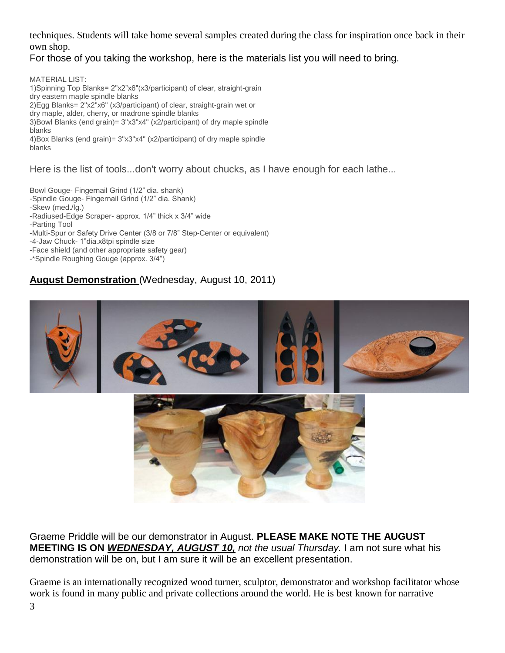techniques. Students will take home several samples created during the class for inspiration once back in their own shop.

### For those of you taking the workshop, here is the materials list you will need to bring.

MATERIAL LIST: 1)Spinning Top Blanks= 2"x2"x6"(x3/participant) of clear, straight-grain dry eastern maple spindle blanks 2)Egg Blanks= 2"x2"x6" (x3/participant) of clear, straight-grain wet or dry maple, alder, cherry, or madrone spindle blanks 3)Bowl Blanks (end grain)= 3"x3"x4" (x2/participant) of dry maple spindle blanks 4)Box Blanks (end grain)= 3"x3"x4" (x2/participant) of dry maple spindle blanks

Here is the list of tools...don't worry about chucks, as I have enough for each lathe...

Bowl Gouge- Fingernail Grind (1/2" dia. shank)

-Spindle Gouge- Fingernail Grind (1/2" dia. Shank)

-Skew (med./lg.)

- -Radiused-Edge Scraper- approx. 1/4" thick x 3/4" wide
- -Parting Tool

-Multi-Spur or Safety Drive Center (3/8 or 7/8" Step-Center or equivalent)

-4-Jaw Chuck- 1"dia.x8tpi spindle size

-Face shield (and other appropriate safety gear)

-\*Spindle Roughing Gouge (approx. 3/4")

### **August Demonstration** (Wednesday, August 10, 2011)



Graeme Priddle will be our demonstrator in August. **PLEASE MAKE NOTE THE AUGUST MEETING IS ON** *WEDNESDAY, AUGUST 10, not the usual Thursday.* I am not sure what his demonstration will be on, but I am sure it will be an excellent presentation.

Graeme is an internationally recognized wood turner, sculptor, demonstrator and workshop facilitator whose work is found in many public and private collections around the world. He is best known for narrative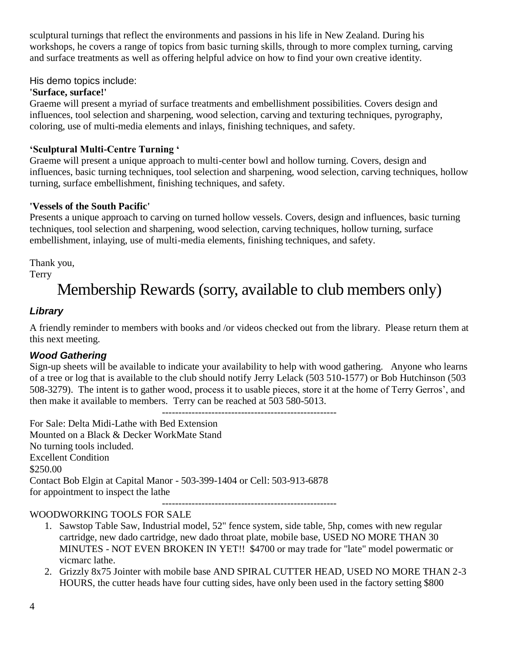sculptural turnings that reflect the environments and passions in his life in New Zealand. During his workshops, he covers a range of topics from basic turning skills, through to more complex turning, carving and surface treatments as well as offering helpful advice on how to find your own creative identity.

His demo topics include:

### **'Surface, surface!'**

Graeme will present a myriad of surface treatments and embellishment possibilities. Covers design and influences, tool selection and sharpening, wood selection, carving and texturing techniques, pyrography, coloring, use of multi-media elements and inlays, finishing techniques, and safety.

### **'Sculptural Multi-Centre Turning '**

Graeme will present a unique approach to multi-center bowl and hollow turning. Covers, design and influences, basic turning techniques, tool selection and sharpening, wood selection, carving techniques, hollow turning, surface embellishment, finishing techniques, and safety.

### **'Vessels of the South Pacific'**

Presents a unique approach to carving on turned hollow vessels. Covers, design and influences, basic turning techniques, tool selection and sharpening, wood selection, carving techniques, hollow turning, surface embellishment, inlaying, use of multi-media elements, finishing techniques, and safety.

Thank you,

Terry

# Membership Rewards (sorry, available to club members only)

### *Library*

A friendly reminder to members with books and /or videos checked out from the library. Please return them at this next meeting.

### *Wood Gathering*

Sign-up sheets will be available to indicate your availability to help with wood gathering. Anyone who learns of a tree or log that is available to the club should notify Jerry Lelack (503 510-1577) or Bob Hutchinson (503 508-3279). The intent is to gather wood, process it to usable pieces, store it at the home of Terry Gerros', and then make it available to members. Terry can be reached at 503 580-5013.

-----------------------------------------------------

For Sale: Delta Midi-Lathe with Bed Extension Mounted on a Black & Decker WorkMate Stand No turning tools included. Excellent Condition \$250.00 Contact Bob Elgin at Capital Manor - 503-399-1404 or Cell: 503-913-6878 for appointment to inspect the lathe

-----------------------------------------------------

### WOODWORKING TOOLS FOR SALE

- 1. Sawstop Table Saw, Industrial model, 52" fence system, side table, 5hp, comes with new regular cartridge, new dado cartridge, new dado throat plate, mobile base, USED NO MORE THAN 30 MINUTES - NOT EVEN BROKEN IN YET!! \$4700 or may trade for "late" model powermatic or vicmarc lathe.
- 2. Grizzly 8x75 Jointer with mobile base AND SPIRAL CUTTER HEAD, USED NO MORE THAN 2-3 HOURS, the cutter heads have four cutting sides, have only been used in the factory setting \$800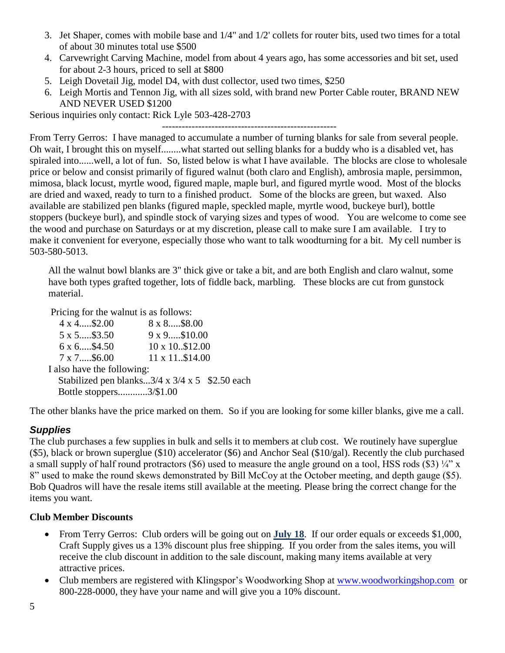- 3. Jet Shaper, comes with mobile base and 1/4" and 1/2' collets for router bits, used two times for a total of about 30 minutes total use \$500
- 4. Carvewright Carving Machine, model from about 4 years ago, has some accessories and bit set, used for about 2-3 hours, priced to sell at \$800
- 5. Leigh Dovetail Jig, model D4, with dust collector, used two times, \$250
- 6. Leigh Mortis and Tennon Jig, with all sizes sold, with brand new Porter Cable router, BRAND NEW AND NEVER USED \$1200

Serious inquiries only contact: Rick Lyle 503-428-2703

-----------------------------------------------------

From Terry Gerros: I have managed to accumulate a number of turning blanks for sale from several people. Oh wait, I brought this on myself........what started out selling blanks for a buddy who is a disabled vet, has spiraled into......well, a lot of fun. So, listed below is what I have available. The blocks are close to wholesale price or below and consist primarily of figured walnut (both claro and English), ambrosia maple, persimmon, mimosa, black locust, myrtle wood, figured maple, maple burl, and figured myrtle wood. Most of the blocks are dried and waxed, ready to turn to a finished product. Some of the blocks are green, but waxed. Also available are stabilized pen blanks (figured maple, speckled maple, myrtle wood, buckeye burl), bottle stoppers (buckeye burl), and spindle stock of varying sizes and types of wood. You are welcome to come see the wood and purchase on Saturdays or at my discretion, please call to make sure I am available. I try to make it convenient for everyone, especially those who want to talk woodturning for a bit. My cell number is 503-580-5013.

All the walnut bowl blanks are 3" thick give or take a bit, and are both English and claro walnut, some have both types grafted together, lots of fiddle back, marbling. These blocks are cut from gunstock material.

Pricing for the walnut is as follows:

 4 x 4.....\$2.00 8 x 8.....\$8.00 5 x 5.....\$3.50 9 x 9.....\$10.00  $6 \times 6$ ....\$4.50  $10 \times 10.812.00$ 7 x 7.....\$6.00 11 x 11..\$14.00 I also have the following: Stabilized pen blanks... $3/4 \times 3/4 \times 5$  \$2.50 each Bottle stoppers............3/\$1.00

The other blanks have the price marked on them. So if you are looking for some killer blanks, give me a call.

### *Supplies*

The club purchases a few supplies in bulk and sells it to members at club cost. We routinely have superglue (\$5), black or brown superglue (\$10) accelerator (\$6) and Anchor Seal (\$10/gal). Recently the club purchased a small supply of half round protractors (\$6) used to measure the angle ground on a tool, HSS rods (\$3)  $\frac{1}{4}$ " x 8" used to make the round skews demonstrated by Bill McCoy at the October meeting, and depth gauge (\$5). Bob Quadros will have the resale items still available at the meeting. Please bring the correct change for the items you want.

#### **Club Member Discounts**

- From Terry Gerros: Club orders will be going out on **July 18**. If our order equals or exceeds \$1,000, Craft Supply gives us a 13% discount plus free shipping. If you order from the sales items, you will receive the club discount in addition to the sale discount, making many items available at very attractive prices.
- Club members are registered with Klingspor's Woodworking Shop at [www.woodworkingshop.com](http://www.woodworkingshop.com/) or 800-228-0000, they have your name and will give you a 10% discount.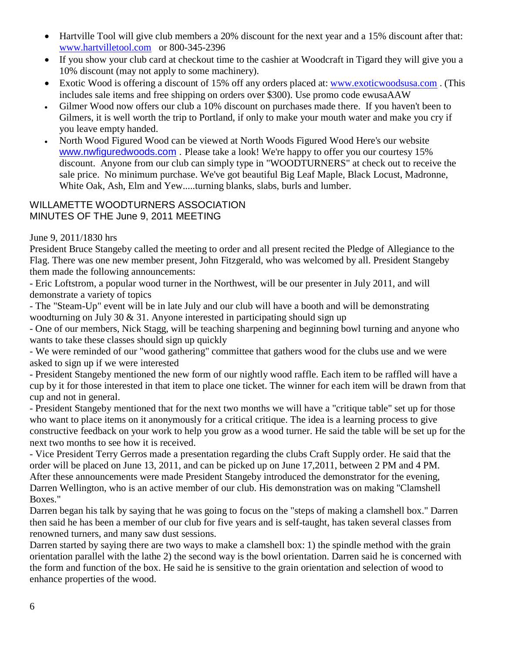- Hartville Tool will give club members a 20% discount for the next year and a 15% discount after that: [www.hartvilletool.com](http://www.hartvilletool.com/) or 800-345-2396
- If you show your club card at checkout time to the cashier at Woodcraft in Tigard they will give you a 10% discount (may not apply to some machinery).
- Exotic Wood is offering a discount of 15% off any orders placed at: [www.exoticwoodsusa.com](http://www.exoticwoodsusa.com/) . (This includes sale items and free shipping on orders over \$300). Use promo code ewusaAAW
- Gilmer Wood now offers our club a 10% discount on purchases made there. If you haven't been to Gilmers, it is well worth the trip to Portland, if only to make your mouth water and make you cry if you leave empty handed.
- North Wood Figured Wood can be viewed at North Woods Figured Wood Here's our website [www.nwfiguredwoods.com](http://www.nwfiguredwoods.com/) . Please take a look! We're happy to offer you our courtesy 15% discount. Anyone from our club can simply type in "WOODTURNERS" at check out to receive the sale price. No minimum purchase. We've got beautiful Big Leaf Maple, Black Locust, Madronne, White Oak, Ash, Elm and Yew.....turning blanks, slabs, burls and lumber.

### WILLAMETTE WOODTURNERS ASSOCIATION MINUTES OF THE June 9, 2011 MEETING

### June 9, 2011/1830 hrs

President Bruce Stangeby called the meeting to order and all present recited the Pledge of Allegiance to the Flag. There was one new member present, John Fitzgerald, who was welcomed by all. President Stangeby them made the following announcements:

- Eric Loftstrom, a popular wood turner in the Northwest, will be our presenter in July 2011, and will demonstrate a variety of topics

- The "Steam-Up" event will be in late July and our club will have a booth and will be demonstrating woodturning on July 30 & 31. Anyone interested in participating should sign up

- One of our members, Nick Stagg, will be teaching sharpening and beginning bowl turning and anyone who wants to take these classes should sign up quickly

- We were reminded of our "wood gathering" committee that gathers wood for the clubs use and we were asked to sign up if we were interested

- President Stangeby mentioned the new form of our nightly wood raffle. Each item to be raffled will have a cup by it for those interested in that item to place one ticket. The winner for each item will be drawn from that cup and not in general.

- President Stangeby mentioned that for the next two months we will have a "critique table" set up for those who want to place items on it anonymously for a critical critique. The idea is a learning process to give constructive feedback on your work to help you grow as a wood turner. He said the table will be set up for the next two months to see how it is received.

- Vice President Terry Gerros made a presentation regarding the clubs Craft Supply order. He said that the order will be placed on June 13, 2011, and can be picked up on June 17,2011, between 2 PM and 4 PM. After these announcements were made President Stangeby introduced the demonstrator for the evening, Darren Wellington, who is an active member of our club. His demonstration was on making "Clamshell Boxes."

Darren began his talk by saying that he was going to focus on the "steps of making a clamshell box." Darren then said he has been a member of our club for five years and is self-taught, has taken several classes from renowned turners, and many saw dust sessions.

Darren started by saying there are two ways to make a clamshell box: 1) the spindle method with the grain orientation parallel with the lathe 2) the second way is the bowl orientation. Darren said he is concerned with the form and function of the box. He said he is sensitive to the grain orientation and selection of wood to enhance properties of the wood.